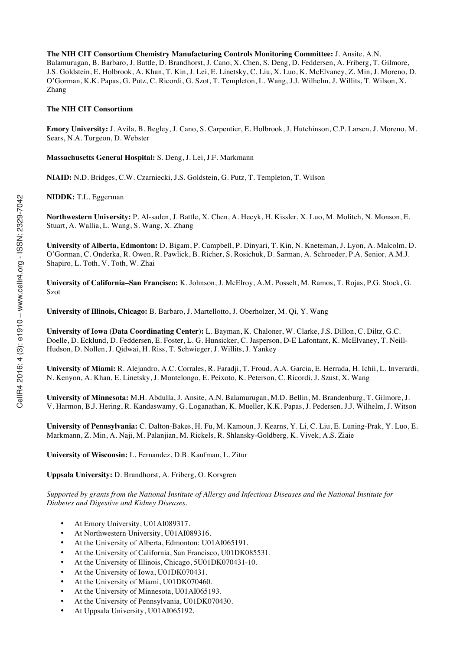**The NIH CIT Consortium Chemistry Manufacturing Controls Monitoring Committee:** J. Ansite, A.N. Balamurugan, B. Barbaro, J. Battle, D. Brandhorst, J. Cano, X. Chen, S. Deng, D. Feddersen, A. Friberg, T. Gilmore, J.S. Goldstein, E. Holbrook, A. Khan, T. Kin, J. Lei, E. Linetsky, C. Liu, X. Luo, K. McElvaney, Z. Min, J. Moreno, D. O'Gorman, K.K. Papas, G. Putz, C. Ricordi, G. Szot, T. Templeton, L. Wang, J.J. Wilhelm, J. Willits, T. Wilson, X. Zhang

#### **The NIH CIT Consortium**

**Emory University:** J. Avila, B. Begley, J. Cano, S. Carpentier, E. Holbrook, J. Hutchinson, C.P. Larsen, J. Moreno, M. Sears, N.A. Turgeon, D. Webster

**Massachusetts General Hospital:** S. Deng, J. Lei, J.F. Markmann

**NIAID:** N.D. Bridges, C.W. Czarniecki, J.S. Goldstein, G. Putz, T. Templeton, T. Wilson

**NIDDK:** T.L. Eggerman

**Northwestern University:** P. Al-saden, J. Battle, X. Chen, A. Hecyk, H. Kissler, X. Luo, M. Molitch, N. Monson, E. Stuart, A. Wallia, L. Wang, S. Wang, X. Zhang

**University of Alberta, Edmonton:** D. Bigam, P. Campbell, P. Dinyari, T. Kin, N. Kneteman, J. Lyon, A. Malcolm, D. O'Gorman, C. Onderka, R. Owen, R. Pawlick, B. Richer, S. Rosichuk, D. Sarman, A. Schroeder, P.A. Senior, A.M.J. Shapiro, L. Toth, V. Toth, W. Zhai

**University of California–San Francisco:** K. Johnson, J. McElroy, A.M. Posselt, M. Ramos, T. Rojas, P.G. Stock, G. Szot

**University of Illinois, Chicago:** B. Barbaro, J. Martellotto, J. Oberholzer, M. Qi, Y. Wang

**University of Iowa (Data Coordinating Center):** L. Bayman, K. Chaloner, W. Clarke, J.S. Dillon, C. Diltz, G.C. Doelle, D. Ecklund, D. Feddersen, E. Foster, L. G. Hunsicker, C. Jasperson, D-E Lafontant, K. McElvaney, T. Neill-Hudson, D. Nollen, J. Qidwai, H. Riss, T. Schwieger, J. Willits, J. Yankey

**University of Miami:** R. Alejandro, A.C. Corrales, R. Faradji, T. Froud, A.A. Garcia, E. Herrada, H. Ichii, L. Inverardi, N. Kenyon, A. Khan, E. Linetsky, J. Montelongo, E. Peixoto, K. Peterson, C. Ricordi, J. Szust, X. Wang

**University of Minnesota:** M.H. Abdulla, J. Ansite, A.N. Balamurugan, M.D. Bellin, M. Brandenburg, T. Gilmore, J. V. Harmon, B.J. Hering, R. Kandaswamy, G. Loganathan, K. Mueller, K.K. Papas, J. Pedersen, J.J. Wilhelm, J. Witson

**University of Pennsylvania:** C. Dalton-Bakes, H. Fu, M. Kamoun, J. Kearns, Y. Li, C. Liu, E. Luning-Prak, Y. Luo, E. Markmann, Z. Min, A. Naji, M. Palanjian, M. Rickels, R. Shlansky-Goldberg, K. Vivek, A.S. Ziaie

**University of Wisconsin:** L. Fernandez, D.B. Kaufman, L. Zitur

**Uppsala University:** D. Brandhorst, A. Friberg, O. Korsgren

*Supported by grants from the National Institute of Allergy and Infectious Diseases and the National Institute for Diabetes and Digestive and Kidney Diseases.*

- At Emory University, U01AI089317.
- At Northwestern University, U01AI089316.
- At the University of Alberta, Edmonton: U01AI065191.
- At the University of California, San Francisco, U01DK085531.
- At the University of Illinois, Chicago, 5U01DK070431-10.
- At the University of Iowa, U01DK070431.
- At the University of Miami, U01DK070460.
- At the University of Minnesota, U01AI065193.
- At the University of Pennsylvania, U01DK070430.
- At Uppsala University, U01AI065192.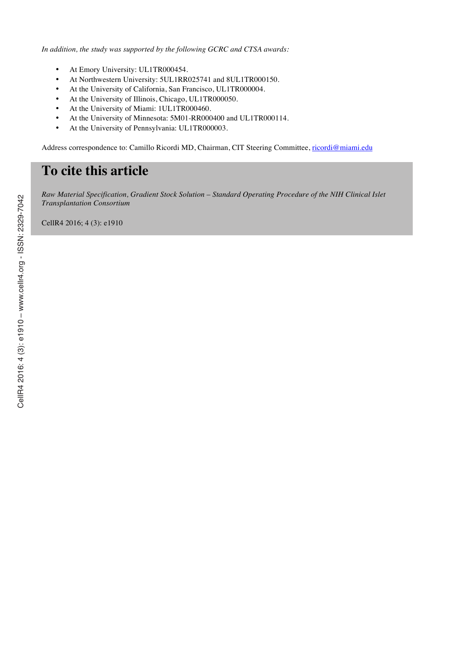*In addition, the study was supported by the following GCRC and CTSA awards:*

- At Emory University: UL1TR000454.
- At Northwestern University: 5UL1RR025741 and 8UL1TR000150.
- At the University of California, San Francisco, UL1TR000004.
- At the University of Illinois, Chicago, UL1TR000050.
- At the University of Miami: 1UL1TR000460.
- At the University of Minnesota: 5M01-RR000400 and UL1TR000114.
- At the University of Pennsylvania: UL1TR000003.

Address correspondence to: Camillo Ricordi MD, Chairman, CIT Steering Committee, ricordi@miami.edu

# **To cite this article**

*Raw Material Specification, Gradient Stock Solution – Standard Operating Procedure of the NIH Clinical Islet Transplantation Consortium*

CellR4 2016; 4 (3): e1910